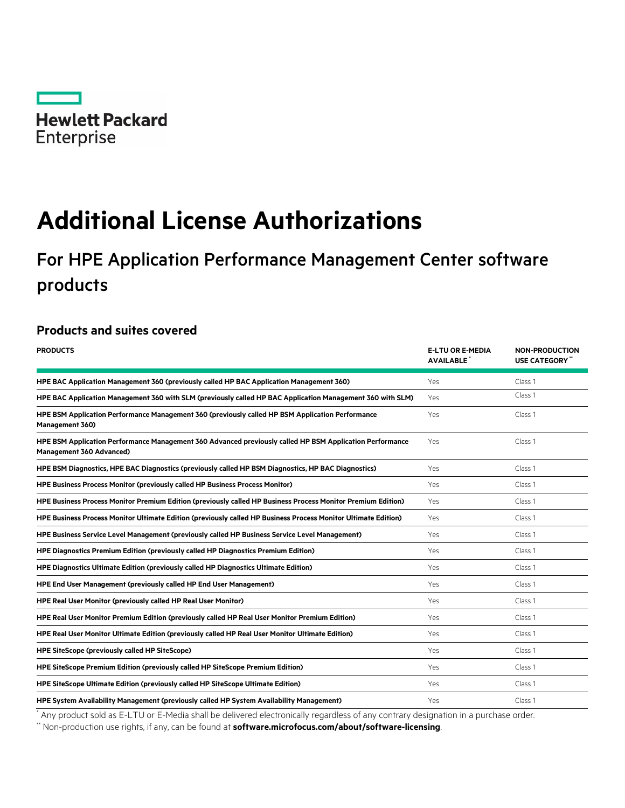

# **Additional License Authorizations**

# For HPE Application Performance Management Center software products

## **Products and suites covered**

| <b>PRODUCTS</b>                                                                                                                      | <b>E-LTU OR E-MEDIA</b><br><b>AVAILABLE</b> | <b>NON-PRODUCTION</b><br>USE CATEGORY" |
|--------------------------------------------------------------------------------------------------------------------------------------|---------------------------------------------|----------------------------------------|
| HPE BAC Application Management 360 (previously called HP BAC Application Management 360)                                             | Yes                                         | Class 1                                |
| HPE BAC Application Management 360 with SLM (previously called HP BAC Application Management 360 with SLM)                           | Yes                                         | Class 1                                |
| HPE BSM Application Performance Management 360 (previously called HP BSM Application Performance<br><b>Management 360)</b>           | Yes                                         | Class 1                                |
| HPE BSM Application Performance Management 360 Advanced previously called HP BSM Application Performance<br>Management 360 Advanced) | Yes                                         | Class 1                                |
| HPE BSM Diagnostics, HPE BAC Diagnostics (previously called HP BSM Diagnostics, HP BAC Diagnostics)                                  | Yes                                         | Class 1                                |
| <b>HPE Business Process Monitor (previously called HP Business Process Monitor)</b>                                                  | Yes                                         | Class 1                                |
| HPE Business Process Monitor Premium Edition (previously called HP Business Process Monitor Premium Edition)                         | Yes                                         | Class 1                                |
| HPE Business Process Monitor Ultimate Edition (previously called HP Business Process Monitor Ultimate Edition)                       | Yes                                         | Class 1                                |
| HPE Business Service Level Management (previously called HP Business Service Level Management)                                       | Yes                                         | Class 1                                |
| HPE Diagnostics Premium Edition (previously called HP Diagnostics Premium Edition)                                                   | Yes                                         | Class <sub>1</sub>                     |
| HPE Diagnostics Ultimate Edition (previously called HP Diagnostics Ultimate Edition)                                                 | Yes                                         | Class 1                                |
| HPE End User Management (previously called HP End User Management)                                                                   | Yes                                         | Class 1                                |
| HPE Real User Monitor (previously called HP Real User Monitor)                                                                       | Yes                                         | Class 1                                |
| HPE Real User Monitor Premium Edition (previously called HP Real User Monitor Premium Edition)                                       | Yes                                         | Class 1                                |
| HPE Real User Monitor Ultimate Edition (previously called HP Real User Monitor Ultimate Edition)                                     | Yes                                         | Class 1                                |
| HPE SiteScope (previously called HP SiteScope)                                                                                       | Yes                                         | Class 1                                |
| HPE SiteScope Premium Edition (previously called HP SiteScope Premium Edition)                                                       | Yes                                         | Class 1                                |
| HPE SiteScope Ultimate Edition (previously called HP SiteScope Ultimate Edition)                                                     | Yes                                         | Class 1                                |
| HPE System Availability Management (previously called HP System Availability Management)                                             | Yes                                         | Class 1                                |

\* Any product sold as E-LTU or E-Media shall be delivered electronically regardless of any contrary designation in a purchase order.

\*\* Non-production use rights, if any, can be found at **[software.microfocus.com/about/software-licensing](https://software.microfocus.com/about/software-licensing)**.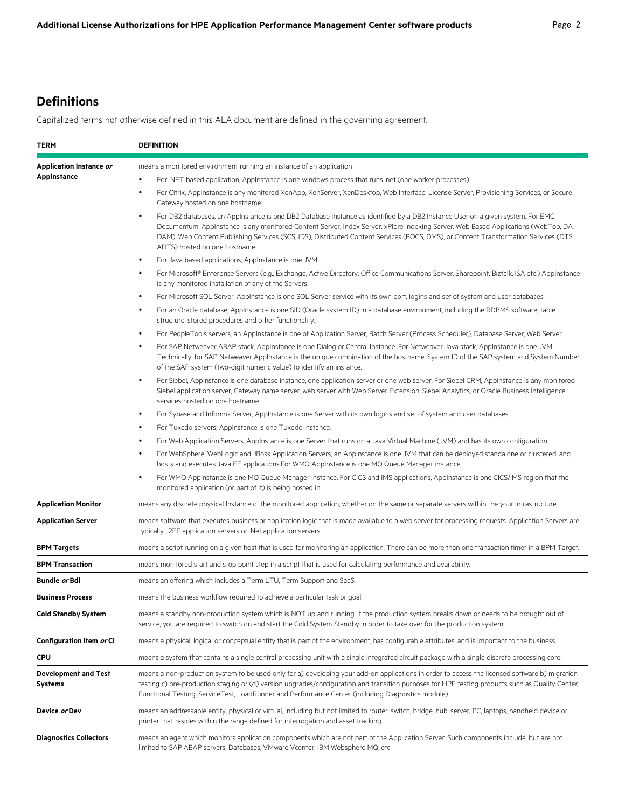### **Definitions**

Capitalized terms not otherwise defined in this ALA document are defined in the governing agreement.

| <b>TERM</b>                                   | <b>DEFINITION</b>                                                                                                                                                                                                                                                                                                                                                                                                                                  |
|-----------------------------------------------|----------------------------------------------------------------------------------------------------------------------------------------------------------------------------------------------------------------------------------------------------------------------------------------------------------------------------------------------------------------------------------------------------------------------------------------------------|
| Application Instance or                       | means a monitored environment running an instance of an application                                                                                                                                                                                                                                                                                                                                                                                |
| AppInstance                                   | For .NET based application, Applnstance is one windows process that runs .net (one worker processes).<br>٠                                                                                                                                                                                                                                                                                                                                         |
|                                               | For Citrix, AppInstance is any monitored XenApp, XenServer, XenDesktop, Web Interface, License Server, Provisioning Services, or Secure<br>٠<br>Gateway hosted on one hostname.                                                                                                                                                                                                                                                                    |
|                                               | For DB2 databases, an AppInstance is one DB2 Database Instance as identified by a DB2 Instance User on a given system. For EMC<br>٠<br>Documentum, AppInstance is any monitored Content Server, Index Server, xPlore Indexing Server, Web Based Applications (WebTop, DA,<br>DAM), Web Content Publishing Services (SCS, IDS), Distributed Content Services (BOCS, DMS), or Content Transformation Services (DTS,<br>ADTS) hosted on one hostname. |
|                                               | For Java based applications, Applnstance is one JVM.<br>٠                                                                                                                                                                                                                                                                                                                                                                                          |
|                                               | For Microsoft® Enterprise Servers (e.g., Exchange, Active Directory, Office Communications Server, Sharepoint, Biztalk, ISA etc.) AppInstance<br>٠<br>is any monitored installation of any of the Servers.                                                                                                                                                                                                                                         |
|                                               | For Microsoft SQL Server, AppInstance is one SQL Server service with its own port, logins and set of system and user databases.<br>$\bullet$                                                                                                                                                                                                                                                                                                       |
|                                               | For an Oracle database, AppInstance is one SID (Oracle system ID) in a database environment, including the RDBMS software, table<br>$\bullet$<br>structure, stored procedures and other functionality.                                                                                                                                                                                                                                             |
|                                               | For PeopleTools servers, an AppInstance is one of Application Server, Batch Server (Process Scheduler), Database Server, Web Server.<br>$\bullet$                                                                                                                                                                                                                                                                                                  |
|                                               | For SAP Netweaver ABAP stack, Applnstance is one Dialog or Central Instance. For Netweaver Java stack, Applnstance is one JVM.<br>$\bullet$<br>Technically, for SAP Netweaver Applnstance is the unique combination of the hostname, System ID of the SAP system and System Number<br>of the SAP system (two-digit numeric value) to identify an instance.                                                                                         |
|                                               | For Siebel, Applnstance is one database instance, one application server or one web server. For Siebel CRM, Applnstance is any monitored<br>$\bullet$<br>Siebel application server, Gateway name server, web server with Web Server Extension, Siebel Analytics, or Oracle Business Intelligence<br>services hosted on one hostname.                                                                                                               |
|                                               | For Sybase and Informix Server, AppInstance is one Server with its own logins and set of system and user databases.<br>$\bullet$                                                                                                                                                                                                                                                                                                                   |
|                                               | For Tuxedo servers, AppInstance is one Tuxedo instance.<br>٠                                                                                                                                                                                                                                                                                                                                                                                       |
|                                               | For Web Application Servers, Applnstance is one Server that runs on a Java Virtual Machine (JVM) and has its own configuration.<br>٠                                                                                                                                                                                                                                                                                                               |
|                                               | For WebSphere, WebLogic and JBoss Application Servers, an Applnstance is one JVM that can be deployed standalone or clustered, and<br>hosts and executes Java EE applications. For WMQ AppInstance is one MQ Queue Manager instance.                                                                                                                                                                                                               |
|                                               | For WMQ AppInstance is one MQ Queue Manager instance. For CICS and IMS applications, AppInstance is one CICS/IMS region that the<br>٠<br>monitored application (or part of it) is being hosted in.                                                                                                                                                                                                                                                 |
| <b>Application Monitor</b>                    | means any discrete physical Instance of the monitored application, whether on the same or separate servers within the your infrastructure.                                                                                                                                                                                                                                                                                                         |
| <b>Application Server</b>                     | means software that executes business or application logic that is made available to a web server for processing requests. Application Servers are<br>typically J2EE application servers or .Net application servers.                                                                                                                                                                                                                              |
| <b>BPM Targets</b>                            | means a script running on a given host that is used for monitoring an application. There can be more than one transaction timer in a BPM Target.                                                                                                                                                                                                                                                                                                   |
| <b>BPM Transaction</b>                        | means monitored start and stop point step in a script that is used for calculating performance and availability.                                                                                                                                                                                                                                                                                                                                   |
| Bundle or Bdl                                 | means an offering which includes a Term LTU, Term Support and SaaS.                                                                                                                                                                                                                                                                                                                                                                                |
| <b>Business Process</b>                       | means the business workflow required to achieve a particular task or goal.                                                                                                                                                                                                                                                                                                                                                                         |
| <b>Cold Standby System</b>                    | means a standby non-production system which is NOT up and running. If the production system breaks down or needs to be brought out of<br>service, you are required to switch on and start the Cold System Standby in order to take over for the production system.                                                                                                                                                                                 |
| Configuration Item or CI                      | means a physical, logical or conceptual entity that is part of the environment, has configurable attributes, and is important to the business.                                                                                                                                                                                                                                                                                                     |
| <b>CPU</b>                                    | means a system that contains a single central processing unit with a single integrated circuit package with a single discrete processing core.                                                                                                                                                                                                                                                                                                     |
| <b>Development and Test</b><br><b>Systems</b> | means a non-production system to be used only for a) developing your add-on applications in order to access the licensed software b) migration<br>testing c) pre-production staging or (d) version upgrades/configuration and transition purposes for HPE testing products such as Quality Center,<br>Functional Testing, ServiceTest, LoadRunner and Performance Center (including Diagnostics module).                                           |
| Device or Dev                                 | means an addressable entity, physical or virtual, including but not limited to router, switch, bridge, hub, server, PC, laptops, handheld device or<br>printer that resides within the range defined for interrogation and asset tracking.                                                                                                                                                                                                         |
| <b>Diagnostics Collectors</b>                 | means an agent which monitors application components which are not part of the Application Server. Such components include, but are not<br>limited to SAP ABAP servers, Databases, VMware Vcenter, IBM Websphere MQ, etc.                                                                                                                                                                                                                          |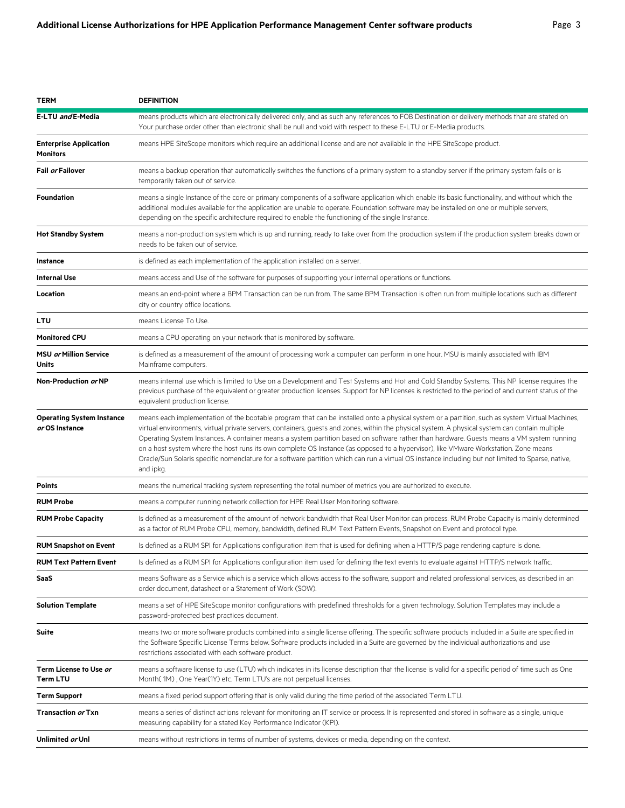| TERM                                               | <b>DEFINITION</b>                                                                                                                                                                                                                                                                                                                                                                                                                                                                                                                                                                                                                                                                                                                                         |
|----------------------------------------------------|-----------------------------------------------------------------------------------------------------------------------------------------------------------------------------------------------------------------------------------------------------------------------------------------------------------------------------------------------------------------------------------------------------------------------------------------------------------------------------------------------------------------------------------------------------------------------------------------------------------------------------------------------------------------------------------------------------------------------------------------------------------|
| E-LTU and E-Media                                  | means products which are electronically delivered only, and as such any references to FOB Destination or delivery methods that are stated on<br>Your purchase order other than electronic shall be null and void with respect to these E-LTU or E-Media products.                                                                                                                                                                                                                                                                                                                                                                                                                                                                                         |
| <b>Enterprise Application</b><br><b>Monitors</b>   | means HPE SiteScope monitors which require an additional license and are not available in the HPE SiteScope product.                                                                                                                                                                                                                                                                                                                                                                                                                                                                                                                                                                                                                                      |
| <b>Fail or Failover</b>                            | means a backup operation that automatically switches the functions of a primary system to a standby server if the primary system fails or is<br>temporarily taken out of service.                                                                                                                                                                                                                                                                                                                                                                                                                                                                                                                                                                         |
| <b>Foundation</b>                                  | means a single Instance of the core or primary components of a software application which enable its basic functionality, and without which the<br>additional modules available for the application are unable to operate. Foundation software may be installed on one or multiple servers,<br>depending on the specific architecture required to enable the functioning of the single Instance.                                                                                                                                                                                                                                                                                                                                                          |
| <b>Hot Standby System</b>                          | means a non-production system which is up and running, ready to take over from the production system if the production system breaks down or<br>needs to be taken out of service.                                                                                                                                                                                                                                                                                                                                                                                                                                                                                                                                                                         |
| Instance                                           | is defined as each implementation of the application installed on a server.                                                                                                                                                                                                                                                                                                                                                                                                                                                                                                                                                                                                                                                                               |
| <b>Internal Use</b>                                | means access and Use of the software for purposes of supporting your internal operations or functions.                                                                                                                                                                                                                                                                                                                                                                                                                                                                                                                                                                                                                                                    |
| Location                                           | means an end-point where a BPM Transaction can be run from. The same BPM Transaction is often run from multiple locations such as different<br>city or country office locations.                                                                                                                                                                                                                                                                                                                                                                                                                                                                                                                                                                          |
| LTU                                                | means License To Use.                                                                                                                                                                                                                                                                                                                                                                                                                                                                                                                                                                                                                                                                                                                                     |
| <b>Monitored CPU</b>                               | means a CPU operating on your network that is monitored by software.                                                                                                                                                                                                                                                                                                                                                                                                                                                                                                                                                                                                                                                                                      |
| <b>MSU or Million Service</b><br>Units             | is defined as a measurement of the amount of processing work a computer can perform in one hour. MSU is mainly associated with IBM<br>Mainframe computers.                                                                                                                                                                                                                                                                                                                                                                                                                                                                                                                                                                                                |
| Non-Production or NP                               | means internal use which is limited to Use on a Development and Test Systems and Hot and Cold Standby Systems. This NP license requires the<br>previous purchase of the equivalent or greater production licenses. Support for NP licenses is restricted to the period of and current status of the<br>equivalent production license.                                                                                                                                                                                                                                                                                                                                                                                                                     |
| <b>Operating System Instance</b><br>or OS Instance | means each implementation of the bootable program that can be installed onto a physical system or a partition, such as system Virtual Machines,<br>virtual environments, virtual private servers, containers, guests and zones, within the physical system. A physical system can contain multiple<br>Operating System Instances. A container means a system partition based on software rather than hardware. Guests means a VM system running<br>on a host system where the host runs its own complete OS Instance (as opposed to a hypervisor), like VMware Workstation. Zone means<br>Oracle/Sun Solaris specific nomenclature for a software partition which can run a virtual OS instance including but not limited to Sparse, native,<br>and ipkg. |
| <b>Points</b>                                      | means the numerical tracking system representing the total number of metrics you are authorized to execute.                                                                                                                                                                                                                                                                                                                                                                                                                                                                                                                                                                                                                                               |
| <b>RUM Probe</b>                                   | means a computer running network collection for HPE Real User Monitoring software.                                                                                                                                                                                                                                                                                                                                                                                                                                                                                                                                                                                                                                                                        |
| <b>RUM Probe Capacity</b>                          | Is defined as a measurement of the amount of network bandwidth that Real User Monitor can process. RUM Probe Capacity is mainly determined<br>as a factor of RUM Probe CPU, memory, bandwidth, defined RUM Text Pattern Events, Snapshot on Event and protocol type.                                                                                                                                                                                                                                                                                                                                                                                                                                                                                      |
| <b>RUM Snapshot on Event</b>                       | Is defined as a RUM SPI for Applications configuration item that is used for defining when a HTTP/S page rendering capture is done.                                                                                                                                                                                                                                                                                                                                                                                                                                                                                                                                                                                                                       |
| <b>RUM Text Pattern Event</b>                      | Is defined as a RUM SPI for Applications configuration item used for defining the text events to evaluate against HTTP/S network traffic.                                                                                                                                                                                                                                                                                                                                                                                                                                                                                                                                                                                                                 |
| SaaS                                               | means Software as a Service which is a service which allows access to the software, support and related professional services, as described in an<br>order document, datasheet or a Statement of Work (SOW).                                                                                                                                                                                                                                                                                                                                                                                                                                                                                                                                              |
| <b>Solution Template</b>                           | means a set of HPE SiteScope monitor configurations with predefined thresholds for a given technology. Solution Templates may include a<br>password-protected best practices document.                                                                                                                                                                                                                                                                                                                                                                                                                                                                                                                                                                    |
| Suite                                              | means two or more software products combined into a single license offering. The specific software products included in a Suite are specified in<br>the Software Specific License Terms below. Software products included in a Suite are governed by the individual authorizations and use<br>restrictions associated with each software product.                                                                                                                                                                                                                                                                                                                                                                                                         |
| Term License to Use or<br><b>Term LTU</b>          | means a software license to use (LTU) which indicates in its license description that the license is valid for a specific period of time such as One<br>Month(1M), One Year(1Y) etc. Term LTU's are not perpetual licenses.                                                                                                                                                                                                                                                                                                                                                                                                                                                                                                                               |
| <b>Term Support</b>                                | means a fixed period support offering that is only valid during the time period of the associated Term LTU.                                                                                                                                                                                                                                                                                                                                                                                                                                                                                                                                                                                                                                               |
| <b>Transaction or Txn</b>                          | means a series of distinct actions relevant for monitoring an IT service or process. It is represented and stored in software as a single, unique<br>measuring capability for a stated Key Performance Indicator (KPI).                                                                                                                                                                                                                                                                                                                                                                                                                                                                                                                                   |
| Unlimited or Unl                                   | means without restrictions in terms of number of systems, devices or media, depending on the context.                                                                                                                                                                                                                                                                                                                                                                                                                                                                                                                                                                                                                                                     |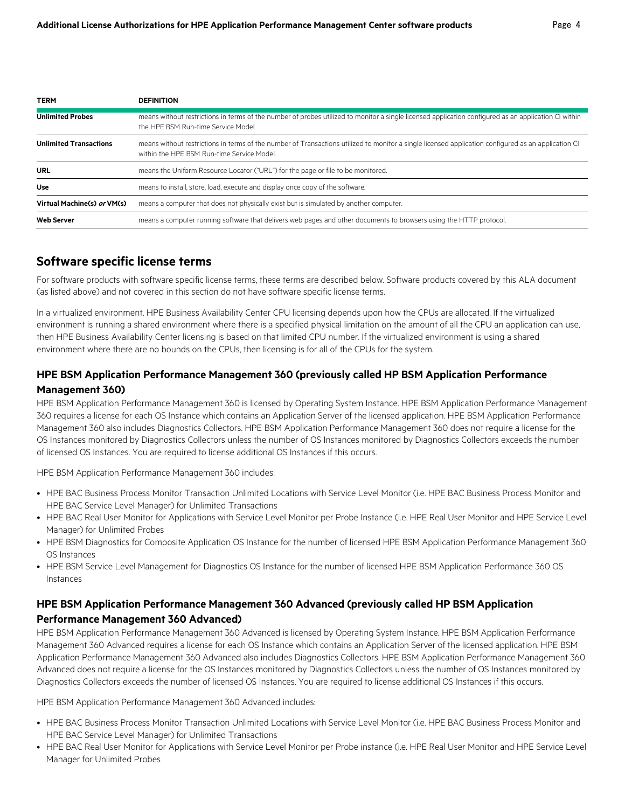| <b>TERM</b>                   | <b>DEFINITION</b>                                                                                                                                                                                 |
|-------------------------------|---------------------------------------------------------------------------------------------------------------------------------------------------------------------------------------------------|
| <b>Unlimited Probes</b>       | means without restrictions in terms of the number of probes utilized to monitor a single licensed application configured as an application CI within<br>the HPF BSM Run-time Service Model.       |
| <b>Unlimited Transactions</b> | means without restrictions in terms of the number of Transactions utilized to monitor a single licensed application configured as an application CI<br>within the HPF BSM Run-time Service Model. |
| <b>URL</b>                    | means the Uniform Resource Locator ("URL") for the page or file to be monitored.                                                                                                                  |
| <b>Use</b>                    | means to install, store, load, execute and display once copy of the software.                                                                                                                     |
| Virtual Machine(s) or VM(s)   | means a computer that does not physically exist but is simulated by another computer.                                                                                                             |
| <b>Web Server</b>             | means a computer running software that delivers web pages and other documents to browsers using the HTTP protocol.                                                                                |

#### **Software specific license terms**

For software products with software specific license terms, these terms are described below. Software products covered by this ALA document (as listed above) and not covered in this section do not have software specific license terms.

In a virtualized environment, HPE Business Availability Center CPU licensing depends upon how the CPUs are allocated. If the virtualized environment is running a shared environment where there is a specified physical limitation on the amount of all the CPU an application can use, then HPE Business Availability Center licensing is based on that limited CPU number. If the virtualized environment is using a shared environment where there are no bounds on the CPUs, then licensing is for all of the CPUs for the system.

#### **HPE BSM Application Performance Management 360 (previously called HP BSM Application Performance Management 360)**

HPE BSM Application Performance Management 360 is licensed by Operating System Instance. HPE BSM Application Performance Management 360 requires a license for each OS Instance which contains an Application Server of the licensed application. HPE BSM Application Performance Management 360 also includes Diagnostics Collectors. HPE BSM Application Performance Management 360 does not require a license for the OS Instances monitored by Diagnostics Collectors unless the number of OS Instances monitored by Diagnostics Collectors exceeds the number of licensed OS Instances. You are required to license additional OS Instances if this occurs.

HPE BSM Application Performance Management 360 includes:

- HPE BAC Business Process Monitor Transaction Unlimited Locations with Service Level Monitor (i.e. HPE BAC Business Process Monitor and HPE BAC Service Level Manager) for Unlimited Transactions
- HPE BAC Real User Monitor for Applications with Service Level Monitor per Probe Instance (i.e. HPE Real User Monitor and HPE Service Level Manager) for Unlimited Probes
- HPE BSM Diagnostics for Composite Application OS Instance for the number of licensed HPE BSM Application Performance Management 360 OS Instances
- HPE BSM Service Level Management for Diagnostics OS Instance for the number of licensed HPE BSM Application Performance 360 OS Instances

#### **HPE BSM Application Performance Management 360 Advanced (previously called HP BSM Application Performance Management 360 Advanced)**

HPE BSM Application Performance Management 360 Advanced is licensed by Operating System Instance. HPE BSM Application Performance Management 360 Advanced requires a license for each OS Instance which contains an Application Server of the licensed application. HPE BSM Application Performance Management 360 Advanced also includes Diagnostics Collectors. HPE BSM Application Performance Management 360 Advanced does not require a license for the OS Instances monitored by Diagnostics Collectors unless the number of OS Instances monitored by Diagnostics Collectors exceeds the number of licensed OS Instances. You are required to license additional OS Instances if this occurs.

HPE BSM Application Performance Management 360 Advanced includes:

- HPE BAC Business Process Monitor Transaction Unlimited Locations with Service Level Monitor (i.e. HPE BAC Business Process Monitor and HPE BAC Service Level Manager) for Unlimited Transactions
- HPE BAC Real User Monitor for Applications with Service Level Monitor per Probe instance (i.e. HPE Real User Monitor and HPE Service Level Manager for Unlimited Probes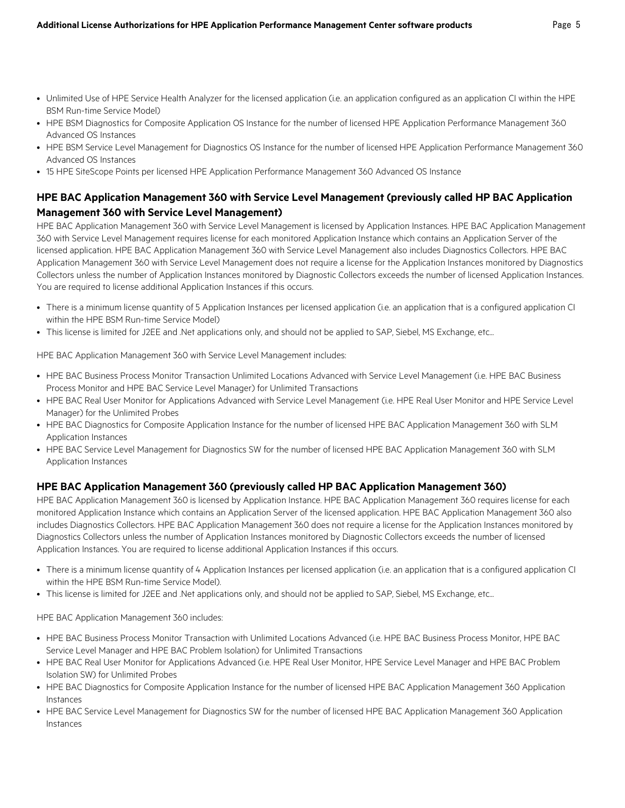- Unlimited Use of HPE Service Health Analyzer for the licensed application (i.e. an application configured as an application CI within the HPE BSM Run-time Service Model)
- HPE BSM Diagnostics for Composite Application OS Instance for the number of licensed HPE Application Performance Management 360 Advanced OS Instances
- HPE BSM Service Level Management for Diagnostics OS Instance for the number of licensed HPE Application Performance Management 360 Advanced OS Instances
- 15 HPE SiteScope Points per licensed HPE Application Performance Management 360 Advanced OS Instance

#### **HPE BAC Application Management 360 with Service Level Management (previously called HP BAC Application Management 360 with Service Level Management)**

HPE BAC Application Management 360 with Service Level Management is licensed by Application Instances. HPE BAC Application Management 360 with Service Level Management requires license for each monitored Application Instance which contains an Application Server of the licensed application. HPE BAC Application Management 360 with Service Level Management also includes Diagnostics Collectors. HPE BAC Application Management 360 with Service Level Management does not require a license for the Application Instances monitored by Diagnostics Collectors unless the number of Application Instances monitored by Diagnostic Collectors exceeds the number of licensed Application Instances. You are required to license additional Application Instances if this occurs.

- There is a minimum license quantity of 5 Application Instances per licensed application (i.e. an application that is a configured application CI within the HPE BSM Run-time Service Model)
- This license is limited for J2EE and .Net applications only, and should not be applied to SAP, Siebel, MS Exchange, etc...

HPE BAC Application Management 360 with Service Level Management includes:

- HPE BAC Business Process Monitor Transaction Unlimited Locations Advanced with Service Level Management (i.e. HPE BAC Business Process Monitor and HPE BAC Service Level Manager) for Unlimited Transactions
- HPE BAC Real User Monitor for Applications Advanced with Service Level Management (i.e. HPE Real User Monitor and HPE Service Level Manager) for the Unlimited Probes
- HPE BAC Diagnostics for Composite Application Instance for the number of licensed HPE BAC Application Management 360 with SLM Application Instances
- HPE BAC Service Level Management for Diagnostics SW for the number of licensed HPE BAC Application Management 360 with SLM Application Instances

#### **HPE BAC Application Management 360 (previously called HP BAC Application Management 360)**

HPE BAC Application Management 360 is licensed by Application Instance. HPE BAC Application Management 360 requires license for each monitored Application Instance which contains an Application Server of the licensed application. HPE BAC Application Management 360 also includes Diagnostics Collectors. HPE BAC Application Management 360 does not require a license for the Application Instances monitored by Diagnostics Collectors unless the number of Application Instances monitored by Diagnostic Collectors exceeds the number of licensed Application Instances. You are required to license additional Application Instances if this occurs.

- There is a minimum license quantity of 4 Application Instances per licensed application (i.e. an application that is a configured application CI within the HPE BSM Run-time Service Model).
- This license is limited for J2EE and .Net applications only, and should not be applied to SAP, Siebel, MS Exchange, etc...

HPE BAC Application Management 360 includes:

- HPE BAC Business Process Monitor Transaction with Unlimited Locations Advanced (i.e. HPE BAC Business Process Monitor, HPE BAC Service Level Manager and HPE BAC Problem Isolation) for Unlimited Transactions
- HPE BAC Real User Monitor for Applications Advanced (i.e. HPE Real User Monitor, HPE Service Level Manager and HPE BAC Problem Isolation SW) for Unlimited Probes
- HPE BAC Diagnostics for Composite Application Instance for the number of licensed HPE BAC Application Management 360 Application Instances
- HPE BAC Service Level Management for Diagnostics SW for the number of licensed HPE BAC Application Management 360 Application Instances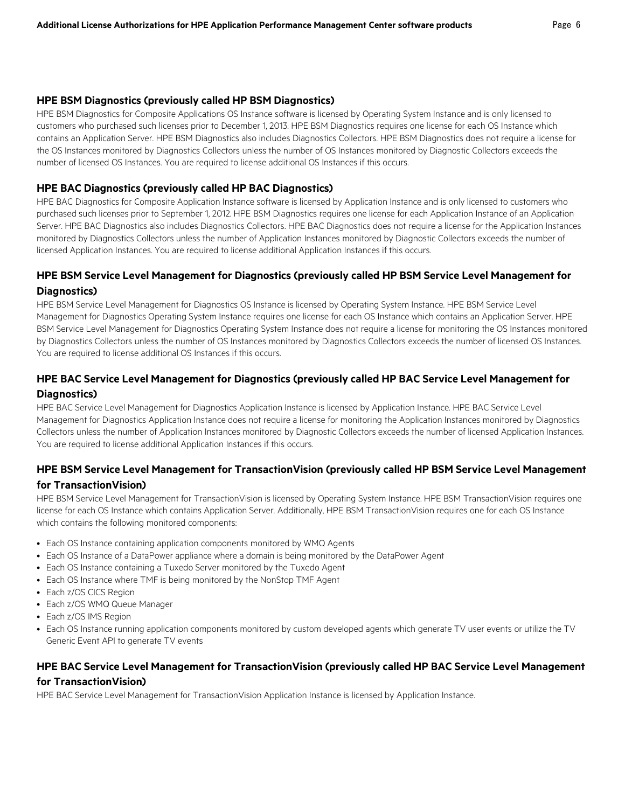#### **HPE BSM Diagnostics (previously called HP BSM Diagnostics)**

HPE BSM Diagnostics for Composite Applications OS Instance software is licensed by Operating System Instance and is only licensed to customers who purchased such licenses prior to December 1, 2013. HPE BSM Diagnostics requires one license for each OS Instance which contains an Application Server. HPE BSM Diagnostics also includes Diagnostics Collectors. HPE BSM Diagnostics does not require a license for the OS Instances monitored by Diagnostics Collectors unless the number of OS Instances monitored by Diagnostic Collectors exceeds the number of licensed OS Instances. You are required to license additional OS Instances if this occurs.

#### **HPE BAC Diagnostics (previously called HP BAC Diagnostics)**

HPE BAC Diagnostics for Composite Application Instance software is licensed by Application Instance and is only licensed to customers who purchased such licenses prior to September 1, 2012. HPE BSM Diagnostics requires one license for each Application Instance of an Application Server. HPE BAC Diagnostics also includes Diagnostics Collectors. HPE BAC Diagnostics does not require a license for the Application Instances monitored by Diagnostics Collectors unless the number of Application Instances monitored by Diagnostic Collectors exceeds the number of licensed Application Instances. You are required to license additional Application Instances if this occurs.

#### **HPE BSM Service Level Management for Diagnostics (previously called HP BSM Service Level Management for Diagnostics)**

HPE BSM Service Level Management for Diagnostics OS Instance is licensed by Operating System Instance. HPE BSM Service Level Management for Diagnostics Operating System Instance requires one license for each OS Instance which contains an Application Server. HPE BSM Service Level Management for Diagnostics Operating System Instance does not require a license for monitoring the OS Instances monitored by Diagnostics Collectors unless the number of OS Instances monitored by Diagnostics Collectors exceeds the number of licensed OS Instances. You are required to license additional OS Instances if this occurs.

#### **HPE BAC Service Level Management for Diagnostics (previously called HP BAC Service Level Management for Diagnostics)**

HPE BAC Service Level Management for Diagnostics Application Instance is licensed by Application Instance. HPE BAC Service Level Management for Diagnostics Application Instance does not require a license for monitoring the Application Instances monitored by Diagnostics Collectors unless the number of Application Instances monitored by Diagnostic Collectors exceeds the number of licensed Application Instances. You are required to license additional Application Instances if this occurs.

#### **HPE BSM Service Level Management for TransactionVision (previously called HP BSM Service Level Management for TransactionVision)**

HPE BSM Service Level Management for TransactionVision is licensed by Operating System Instance. HPE BSM TransactionVision requires one license for each OS Instance which contains Application Server. Additionally, HPE BSM TransactionVision requires one for each OS Instance which contains the following monitored components:

- Each OS Instance containing application components monitored by WMQ Agents
- Each OS Instance of a DataPower appliance where a domain is being monitored by the DataPower Agent
- Each OS Instance containing a Tuxedo Server monitored by the Tuxedo Agent
- Each OS Instance where TMF is being monitored by the NonStop TMF Agent
- Each z/OS CICS Region
- Each z/OS WMQ Queue Manager
- Each z/OS IMS Region
- Each OS Instance running application components monitored by custom developed agents which generate TV user events or utilize the TV Generic Event API to generate TV events

#### **HPE BAC Service Level Management for TransactionVision (previously called HP BAC Service Level Management for TransactionVision)**

HPE BAC Service Level Management for TransactionVision Application Instance is licensed by Application Instance.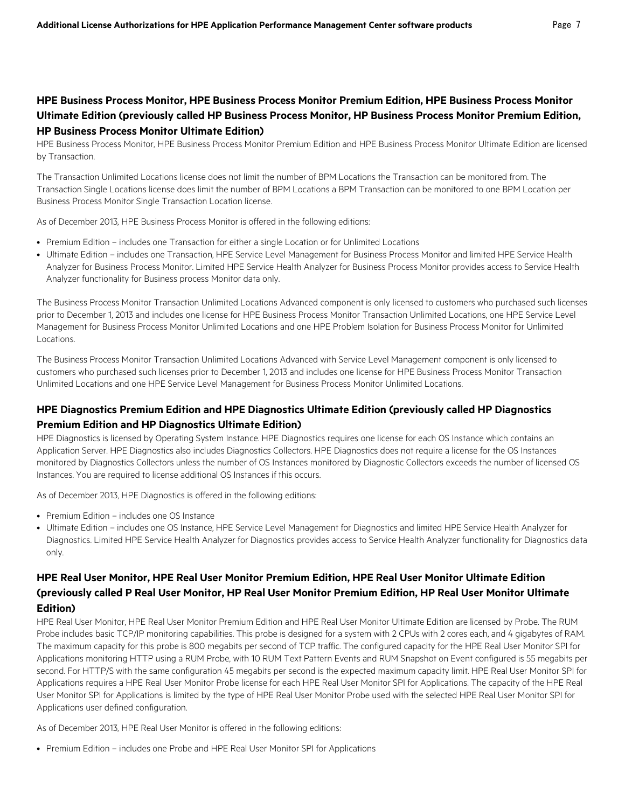#### **HPE Business Process Monitor, HPE Business Process Monitor Premium Edition, HPE Business Process Monitor Ultimate Edition (previously called HP Business Process Monitor, HP Business Process Monitor Premium Edition, HP Business Process Monitor Ultimate Edition)**

HPE Business Process Monitor, HPE Business Process Monitor Premium Edition and HPE Business Process Monitor Ultimate Edition are licensed by Transaction.

The Transaction Unlimited Locations license does not limit the number of BPM Locations the Transaction can be monitored from. The Transaction Single Locations license does limit the number of BPM Locations a BPM Transaction can be monitored to one BPM Location per Business Process Monitor Single Transaction Location license.

As of December 2013, HPE Business Process Monitor is offered in the following editions:

- Premium Edition includes one Transaction for either a single Location or for Unlimited Locations
- Ultimate Edition includes one Transaction, HPE Service Level Management for Business Process Monitor and limited HPE Service Health Analyzer for Business Process Monitor. Limited HPE Service Health Analyzer for Business Process Monitor provides access to Service Health Analyzer functionality for Business process Monitor data only.

The Business Process Monitor Transaction Unlimited Locations Advanced component is only licensed to customers who purchased such licenses prior to December 1, 2013 and includes one license for HPE Business Process Monitor Transaction Unlimited Locations, one HPE Service Level Management for Business Process Monitor Unlimited Locations and one HPE Problem Isolation for Business Process Monitor for Unlimited Locations.

The Business Process Monitor Transaction Unlimited Locations Advanced with Service Level Management component is only licensed to customers who purchased such licenses prior to December 1, 2013 and includes one license for HPE Business Process Monitor Transaction Unlimited Locations and one HPE Service Level Management for Business Process Monitor Unlimited Locations.

#### **HPE Diagnostics Premium Edition and HPE Diagnostics Ultimate Edition (previously called HP Diagnostics Premium Edition and HP Diagnostics Ultimate Edition)**

HPE Diagnostics is licensed by Operating System Instance. HPE Diagnostics requires one license for each OS Instance which contains an Application Server. HPE Diagnostics also includes Diagnostics Collectors. HPE Diagnostics does not require a license for the OS Instances monitored by Diagnostics Collectors unless the number of OS Instances monitored by Diagnostic Collectors exceeds the number of licensed OS Instances. You are required to license additional OS Instances if this occurs.

As of December 2013, HPE Diagnostics is offered in the following editions:

- Premium Edition includes one OS Instance
- Ultimate Edition includes one OS Instance, HPE Service Level Management for Diagnostics and limited HPE Service Health Analyzer for Diagnostics. Limited HPE Service Health Analyzer for Diagnostics provides access to Service Health Analyzer functionality for Diagnostics data only.

#### **HPE Real User Monitor, HPE Real User Monitor Premium Edition, HPE Real User Monitor Ultimate Edition (previously called P Real User Monitor, HP Real User Monitor Premium Edition, HP Real User Monitor Ultimate Edition)**

HPE Real User Monitor, HPE Real User Monitor Premium Edition and HPE Real User Monitor Ultimate Edition are licensed by Probe. The RUM Probe includes basic TCP/IP monitoring capabilities. This probe is designed for a system with 2 CPUs with 2 cores each, and 4 gigabytes of RAM. The maximum capacity for this probe is 800 megabits per second of TCP traffic. The configured capacity for the HPE Real User Monitor SPI for Applications monitoring HTTP using a RUM Probe, with 10 RUM Text Pattern Events and RUM Snapshot on Event configured is 55 megabits per second. For HTTP/S with the same configuration 45 megabits per second is the expected maximum capacity limit. HPE Real User Monitor SPI for Applications requires a HPE Real User Monitor Probe license for each HPE Real User Monitor SPI for Applications. The capacity of the HPE Real User Monitor SPI for Applications is limited by the type of HPE Real User Monitor Probe used with the selected HPE Real User Monitor SPI for Applications user defined configuration.

As of December 2013, HPE Real User Monitor is offered in the following editions:

• Premium Edition – includes one Probe and HPE Real User Monitor SPI for Applications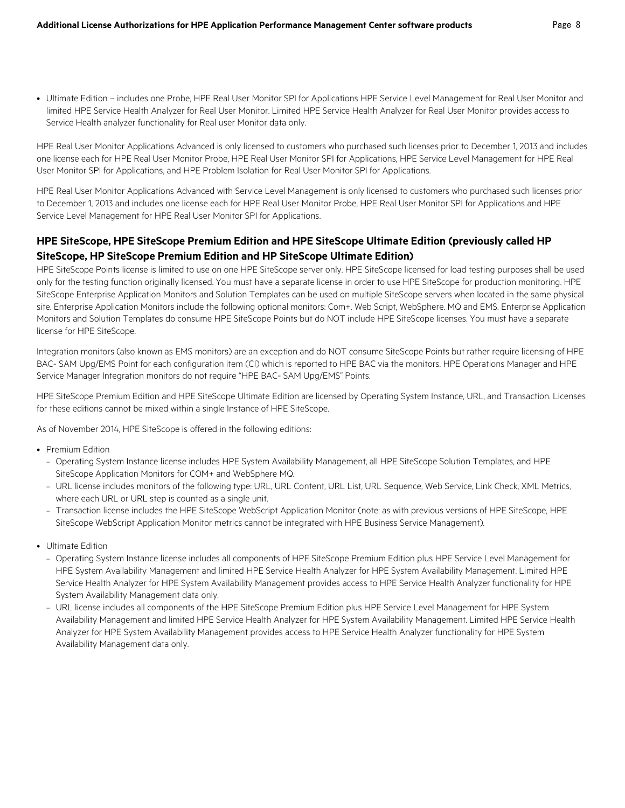• Ultimate Edition – includes one Probe, HPE Real User Monitor SPI for Applications HPE Service Level Management for Real User Monitor and limited HPE Service Health Analyzer for Real User Monitor. Limited HPE Service Health Analyzer for Real User Monitor provides access to Service Health analyzer functionality for Real user Monitor data only.

HPE Real User Monitor Applications Advanced is only licensed to customers who purchased such licenses prior to December 1, 2013 and includes one license each for HPE Real User Monitor Probe, HPE Real User Monitor SPI for Applications, HPE Service Level Management for HPE Real User Monitor SPI for Applications, and HPE Problem Isolation for Real User Monitor SPI for Applications.

HPE Real User Monitor Applications Advanced with Service Level Management is only licensed to customers who purchased such licenses prior to December 1, 2013 and includes one license each for HPE Real User Monitor Probe, HPE Real User Monitor SPI for Applications and HPE Service Level Management for HPE Real User Monitor SPI for Applications.

#### **HPE SiteScope, HPE SiteScope Premium Edition and HPE SiteScope Ultimate Edition (previously called HP SiteScope, HP SiteScope Premium Edition and HP SiteScope Ultimate Edition)**

HPE SiteScope Points license is limited to use on one HPE SiteScope server only. HPE SiteScope licensed for load testing purposes shall be used only for the testing function originally licensed. You must have a separate license in order to use HPE SiteScope for production monitoring. HPE SiteScope Enterprise Application Monitors and Solution Templates can be used on multiple SiteScope servers when located in the same physical site. Enterprise Application Monitors include the following optional monitors: Com+, Web Script, WebSphere. MQ and EMS. Enterprise Application Monitors and Solution Templates do consume HPE SiteScope Points but do NOT include HPE SiteScope licenses. You must have a separate license for HPE SiteScope.

Integration monitors (also known as EMS monitors) are an exception and do NOT consume SiteScope Points but rather require licensing of HPE BAC- SAM Upg/EMS Point for each configuration item (CI) which is reported to HPE BAC via the monitors. HPE Operations Manager and HPE Service Manager Integration monitors do not require "HPE BAC- SAM Upg/EMS" Points.

HPE SiteScope Premium Edition and HPE SiteScope Ultimate Edition are licensed by Operating System Instance, URL, and Transaction. Licenses for these editions cannot be mixed within a single Instance of HPE SiteScope.

As of November 2014, HPE SiteScope is offered in the following editions:

- Premium Edition
	- Operating System Instance license includes HPE System Availability Management, all HPE SiteScope Solution Templates, and HPE SiteScope Application Monitors for COM+ and WebSphere MQ.
	- URL license includes monitors of the following type: URL, URL Content, URL List, URL Sequence, Web Service, Link Check, XML Metrics, where each URL or URL step is counted as a single unit.
	- Transaction license includes the HPE SiteScope WebScript Application Monitor (note: as with previous versions of HPE SiteScope, HPE SiteScope WebScript Application Monitor metrics cannot be integrated with HPE Business Service Management).
- Ultimate Edition
	- Operating System Instance license includes all components of HPE SiteScope Premium Edition plus HPE Service Level Management for HPE System Availability Management and limited HPE Service Health Analyzer for HPE System Availability Management. Limited HPE Service Health Analyzer for HPE System Availability Management provides access to HPE Service Health Analyzer functionality for HPE System Availability Management data only.
	- URL license includes all components of the HPE SiteScope Premium Edition plus HPE Service Level Management for HPE System Availability Management and limited HPE Service Health Analyzer for HPE System Availability Management. Limited HPE Service Health Analyzer for HPE System Availability Management provides access to HPE Service Health Analyzer functionality for HPE System Availability Management data only.